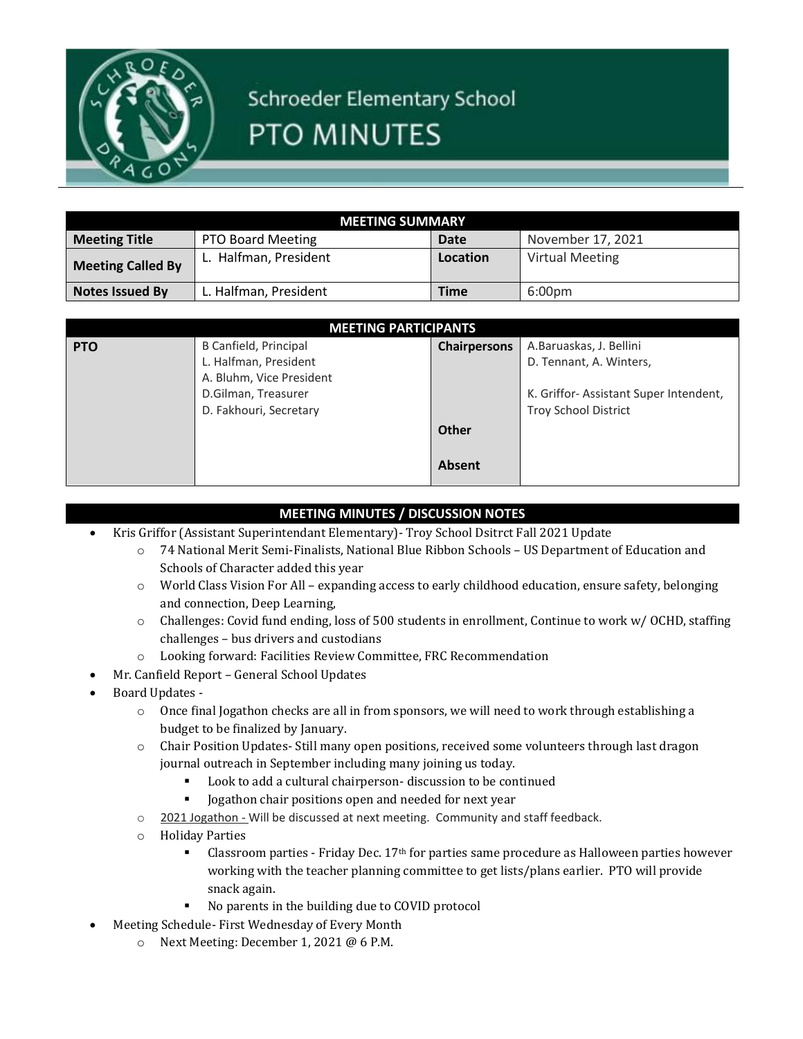

## Schroeder Elementary School PTO MINUTES

| MEETING SUMMARY          |                       |             |                        |  |
|--------------------------|-----------------------|-------------|------------------------|--|
| <b>Meeting Title</b>     | PTO Board Meeting     | Date        | November 17, 2021      |  |
| <b>Meeting Called By</b> | L. Halfman, President | Location    | <b>Virtual Meeting</b> |  |
| <b>Notes Issued By</b>   | L. Halfman, President | <b>Time</b> | 6:00pm                 |  |

| <b>MEETING PARTICIPANTS</b> |                          |                     |                                       |  |
|-----------------------------|--------------------------|---------------------|---------------------------------------|--|
| <b>PTO</b>                  | B Canfield, Principal    | <b>Chairpersons</b> | A.Baruaskas, J. Bellini               |  |
|                             | L. Halfman, President    |                     | D. Tennant, A. Winters,               |  |
|                             | A. Bluhm, Vice President |                     |                                       |  |
|                             | D.Gilman, Treasurer      |                     | K. Griffor-Assistant Super Intendent, |  |
|                             | D. Fakhouri, Secretary   |                     | <b>Troy School District</b>           |  |
|                             |                          | <b>Other</b>        |                                       |  |
|                             |                          | <b>Absent</b>       |                                       |  |

## **MEETING MINUTES / DISCUSSION NOTES**

- Kris Griffor (Assistant Superintendant Elementary)- Troy School Dsitrct Fall 2021 Update
	- o 74 National Merit Semi-Finalists, National Blue Ribbon Schools US Department of Education and Schools of Character added this year
	- o World Class Vision For All expanding access to early childhood education, ensure safety, belonging and connection, Deep Learning,
	- o Challenges: Covid fund ending, loss of 500 students in enrollment, Continue to work w/ OCHD, staffing challenges – bus drivers and custodians
	- o Looking forward: Facilities Review Committee, FRC Recommendation
- Mr. Canfield Report General School Updates
- Board Updates
	- o Once final Jogathon checks are all in from sponsors, we will need to work through establishing a budget to be finalized by January.
	- o Chair Position Updates- Still many open positions, received some volunteers through last dragon journal outreach in September including many joining us today.
		- Look to add a cultural chairperson-discussion to be continued
		- **•** Jogathon chair positions open and needed for next year
	- o 2021 Jogathon Will be discussed at next meeting. Community and staff feedback.
	- o Holiday Parties
		- **•** Classroom parties Friday Dec.  $17<sup>th</sup>$  for parties same procedure as Halloween parties however working with the teacher planning committee to get lists/plans earlier. PTO will provide snack again.
		- No parents in the building due to COVID protocol
	- Meeting Schedule- First Wednesday of Every Month
		- o Next Meeting: December 1, 2021 @ 6 P.M.